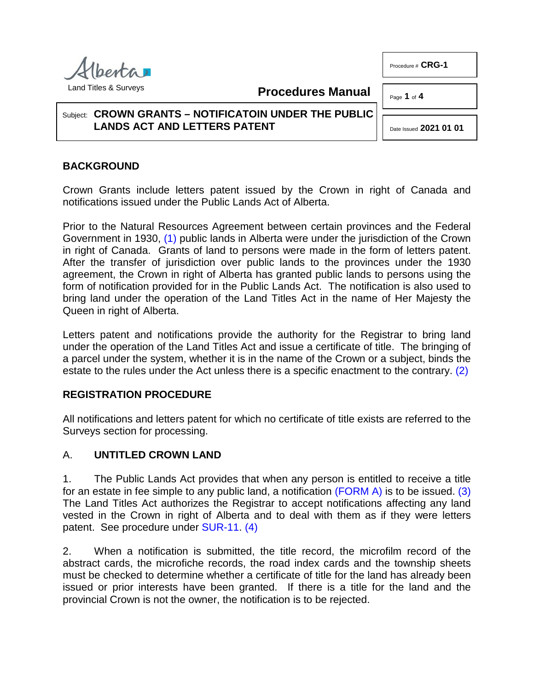Procedure # **CRG-1**

Page **1** of **4**



**Procedures Manual**

#### Subject: **CROWN GRANTS – NOTIFICATOIN UNDER THE PUBLIC LANDS ACT AND LETTERS PATENT**

<span id="page-0-2"></span><span id="page-0-1"></span>Date Issued **2021 01 01**

# **BACKGROUND**

Crown Grants include letters patent issued by the Crown in right of Canada and notifications issued under the Public Lands Act of Alberta.

<span id="page-0-0"></span>Prior to the Natural Resources Agreement between certain provinces and the Federal Government in 1930, [\(1\)](#page-3-0) public lands in Alberta were under the jurisdiction of the Crown in right of Canada. Grants of land to persons were made in the form of letters patent. After the transfer of jurisdiction over public lands to the provinces under the 1930 agreement, the Crown in right of Alberta has granted public lands to persons using the form of notification provided for in the Public Lands Act. The notification is also used to bring land under the operation of the Land Titles Act in the name of Her Majesty the Queen in right of Alberta.

Letters patent and notifications provide the authority for the Registrar to bring land under the operation of the Land Titles Act and issue a certificate of title. The bringing of a parcel under the system, whether it is in the name of the Crown or a subject, binds the estate to the rules under the Act unless there is a specific enactment to the contrary. [\(2\)](#page-3-1)

### **REGISTRATION PROCEDURE**

All notifications and letters patent for which no certificate of title exists are referred to the Surveys section for processing.

### A. **UNTITLED CROWN LAND**

1. The Public Lands Act provides that when any person is entitled to receive a title for an estate in fee simple to any public land, a notification [\(FORM A\)](http://www.servicealberta.ca/pdf/ltmanual/CRG-1-FORMA.pdf) is to be issued. [\(3\)](#page-3-2)  The Land Titles Act authorizes the Registrar to accept notifications affecting any land vested in the Crown in right of Alberta and to deal with them as if they were letters patent. See procedure under [SUR-11.](http://www.servicealberta.ca/pdf/ltmanual/SUR-11.pdf) [\(4\)](#page-3-3)

<span id="page-0-3"></span>2. When a notification is submitted, the title record, the microfilm record of the abstract cards, the microfiche records, the road index cards and the township sheets must be checked to determine whether a certificate of title for the land has already been issued or prior interests have been granted. If there is a title for the land and the provincial Crown is not the owner, the notification is to be rejected.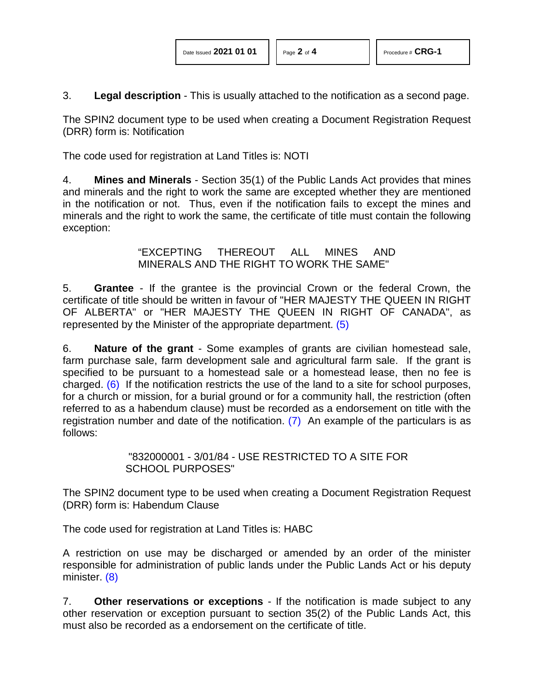3. **Legal description** - This is usually attached to the notification as a second page.

The SPIN2 document type to be used when creating a Document Registration Request (DRR) form is: Notification

The code used for registration at Land Titles is: NOTI

4. **Mines and Minerals** - Section 35(1) of the Public Lands Act provides that mines and minerals and the right to work the same are excepted whether they are mentioned in the notification or not. Thus, even if the notification fails to except the mines and minerals and the right to work the same, the certificate of title must contain the following exception:

> <span id="page-1-0"></span>"EXCEPTING THEREOUT ALL MINES AND MINERALS AND THE RIGHT TO WORK THE SAME"

5. **Grantee** - If the grantee is the provincial Crown or the federal Crown, the certificate of title should be written in favour of "HER MAJESTY THE QUEEN IN RIGHT OF ALBERTA" or "HER MAJESTY THE QUEEN IN RIGHT OF CANADA", as represented by the Minister of the appropriate department. [\(5\)](#page-3-4)

<span id="page-1-1"></span>6. **Nature of the grant** - Some examples of grants are civilian homestead sale, farm purchase sale, farm development sale and agricultural farm sale. If the grant is specified to be pursuant to a homestead sale or a homestead lease, then no fee is charged. [\(6\)](#page-3-5) If the notification restricts the use of the land to a site for school purposes, for a church or mission, for a burial ground or for a community hall, the restriction (often referred to as a habendum clause) must be recorded as a endorsement on title with the registration number and date of the notification. [\(7\)](#page-3-6) An example of the particulars is as follows:

### <span id="page-1-2"></span>"832000001 - 3/01/84 - USE RESTRICTED TO A SITE FOR SCHOOL PURPOSES"

The SPIN2 document type to be used when creating a Document Registration Request (DRR) form is: Habendum Clause

The code used for registration at Land Titles is: HABC

<span id="page-1-3"></span>A restriction on use may be discharged or amended by an order of the minister responsible for administration of public lands under the Public Lands Act or his deputy minister. [\(8\)](#page-3-7)

7. **Other reservations or exceptions** - If the notification is made subject to any other reservation or exception pursuant to section 35(2) of the Public Lands Act, this must also be recorded as a endorsement on the certificate of title.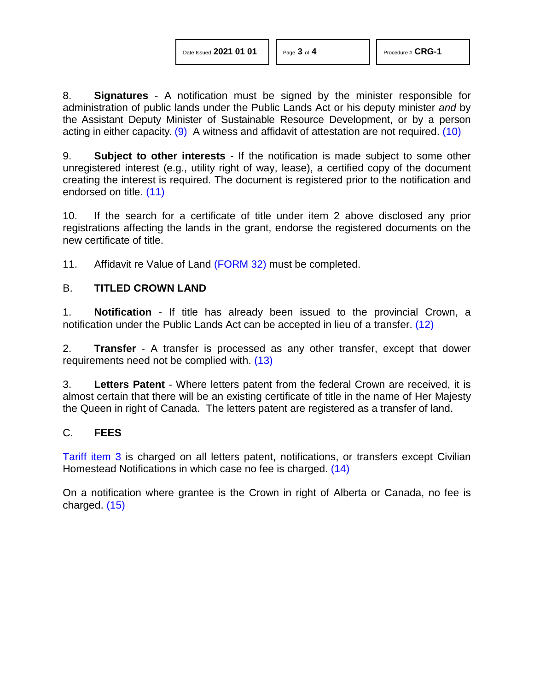<span id="page-2-0"></span>8. **Signatures** - A notification must be signed by the minister responsible for administration of public lands under the Public Lands Act or his deputy minister *and* by the Assistant Deputy Minister of Sustainable Resource Development, or by a person acting in either capacity. [\(9\)](#page-3-8) A witness and affidavit of attestation are not required. [\(10\)](#page-3-9)

<span id="page-2-1"></span>9. **Subject to other interests** - If the notification is made subject to some other unregistered interest (e.g., utility right of way, lease), a certified copy of the document creating the interest is required. The document is registered prior to the notification and endorsed on title. [\(11\)](#page-3-10)

<span id="page-2-2"></span>10. If the search for a certificate of title under item 2 above disclosed any prior registrations affecting the lands in the grant, endorse the registered documents on the new certificate of title.

11. Affidavit re Value of Land [\(FORM 32\)](http://www.servicealberta.ca/pdf/ltmanual/FORM32.pdf) must be completed.

### B. **TITLED CROWN LAND**

<span id="page-2-3"></span>1. **Notification** - If title has already been issued to the provincial Crown, a notification under the Public Lands Act can be accepted in lieu of a transfer. [\(12\)](#page-3-11)

<span id="page-2-4"></span>2. **Transfer** - A transfer is processed as any other transfer, except that dower requirements need not be complied with. [\(13\)](#page-3-12)

3. **Letters Patent** - Where letters patent from the federal Crown are received, it is almost certain that there will be an existing certificate of title in the name of Her Majesty the Queen in right of Canada. The letters patent are registered as a transfer of land.

### C. **FEES**

<span id="page-2-5"></span>[Tariff item 3](http://www.servicealberta.ca/pdf/ltmanual/APPENDIXI.pdf) is charged on all letters patent, notifications, or transfers except Civilian Homestead Notifications in which case no fee is charged. [\(14\)](#page-3-13)

<span id="page-2-6"></span>On a notification where grantee is the Crown in right of Alberta or Canada, no fee is charged. [\(15\)](#page-3-14)